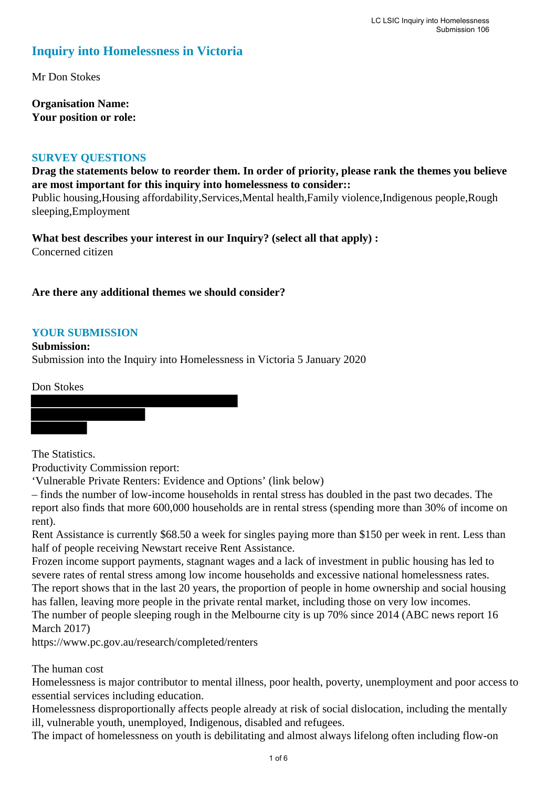# **Inquiry into Homelessness in Victoria**

Mr Don Stokes

**Organisation Name: Your position or role:** 

### **SURVEY QUESTIONS**

**Drag the statements below to reorder them. In order of priority, please rank the themes you believe are most important for this inquiry into homelessness to consider::** 

Public housing,Housing affordability,Services,Mental health,Family violence,Indigenous people,Rough sleeping,Employment

**What best describes your interest in our Inquiry? (select all that apply) :**  Concerned citizen

# **Are there any additional themes we should consider?**

### **YOUR SUBMISSION**

**Submission:** 

Submission into the Inquiry into Homelessness in Victoria 5 January 2020

Don Stokes

The Statistics.

Productivity Commission report:

'Vulnerable Private Renters: Evidence and Options' (link below)

– finds the number of low-income households in rental stress has doubled in the past two decades. The report also finds that more 600,000 households are in rental stress (spending more than 30% of income on rent).

Rent Assistance is currently \$68.50 a week for singles paying more than \$150 per week in rent. Less than half of people receiving Newstart receive Rent Assistance.

Frozen income support payments, stagnant wages and a lack of investment in public housing has led to severe rates of rental stress among low income households and excessive national homelessness rates. The report shows that in the last 20 years, the proportion of people in home ownership and social housing has fallen, leaving more people in the private rental market, including those on very low incomes. The number of people sleeping rough in the Melbourne city is up 70% since 2014 (ABC news report 16 March 2017)

https://www.pc.gov.au/research/completed/renters

# The human cost

Homelessness is major contributor to mental illness, poor health, poverty, unemployment and poor access to essential services including education.

Homelessness disproportionally affects people already at risk of social dislocation, including the mentally ill, vulnerable youth, unemployed, Indigenous, disabled and refugees.

The impact of homelessness on youth is debilitating and almost always lifelong often including flow-on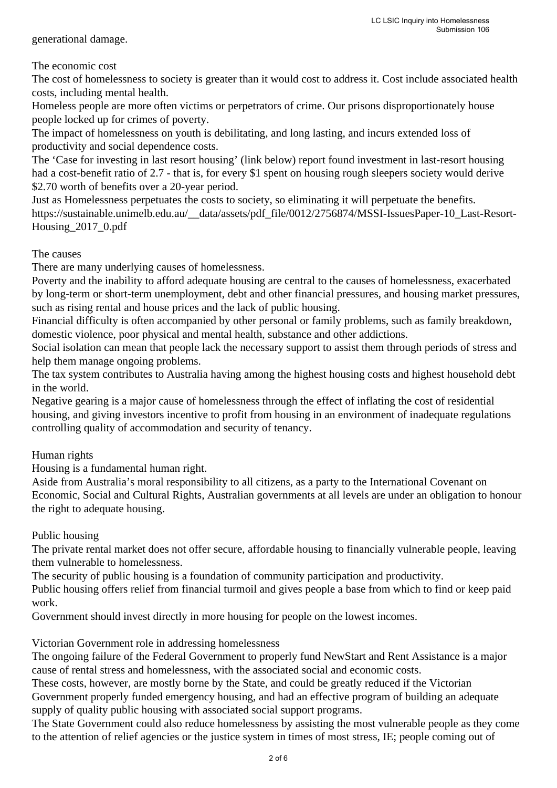generational damage.

## The economic cost

The cost of homelessness to society is greater than it would cost to address it. Cost include associated health costs, including mental health.

Homeless people are more often victims or perpetrators of crime. Our prisons disproportionately house people locked up for crimes of poverty.

The impact of homelessness on youth is debilitating, and long lasting, and incurs extended loss of productivity and social dependence costs.

The 'Case for investing in last resort housing' (link below) report found investment in last-resort housing had a cost-benefit ratio of 2.7 - that is, for every \$1 spent on housing rough sleepers society would derive \$2.70 worth of benefits over a 20-year period.

Just as Homelessness perpetuates the costs to society, so eliminating it will perpetuate the benefits. https://sustainable.unimelb.edu.au/\_\_data/assets/pdf\_file/0012/2756874/MSSI-IssuesPaper-10\_Last-Resort-Housing\_2017\_0.pdf

### The causes

There are many underlying causes of homelessness.

Poverty and the inability to afford adequate housing are central to the causes of homelessness, exacerbated by long-term or short-term unemployment, debt and other financial pressures, and housing market pressures, such as rising rental and house prices and the lack of public housing.

Financial difficulty is often accompanied by other personal or family problems, such as family breakdown, domestic violence, poor physical and mental health, substance and other addictions.

Social isolation can mean that people lack the necessary support to assist them through periods of stress and help them manage ongoing problems.

The tax system contributes to Australia having among the highest housing costs and highest household debt in the world.

Negative gearing is a major cause of homelessness through the effect of inflating the cost of residential housing, and giving investors incentive to profit from housing in an environment of inadequate regulations controlling quality of accommodation and security of tenancy.

Human rights

Housing is a fundamental human right.

Aside from Australia's moral responsibility to all citizens, as a party to the International Covenant on Economic, Social and Cultural Rights, Australian governments at all levels are under an obligation to honour the right to adequate housing.

### Public housing

The private rental market does not offer secure, affordable housing to financially vulnerable people, leaving them vulnerable to homelessness.

The security of public housing is a foundation of community participation and productivity.

Public housing offers relief from financial turmoil and gives people a base from which to find or keep paid work.

Government should invest directly in more housing for people on the lowest incomes.

Victorian Government role in addressing homelessness

The ongoing failure of the Federal Government to properly fund NewStart and Rent Assistance is a major cause of rental stress and homelessness, with the associated social and economic costs.

These costs, however, are mostly borne by the State, and could be greatly reduced if the Victorian Government properly funded emergency housing, and had an effective program of building an adequate supply of quality public housing with associated social support programs.

The State Government could also reduce homelessness by assisting the most vulnerable people as they come to the attention of relief agencies or the justice system in times of most stress, IE; people coming out of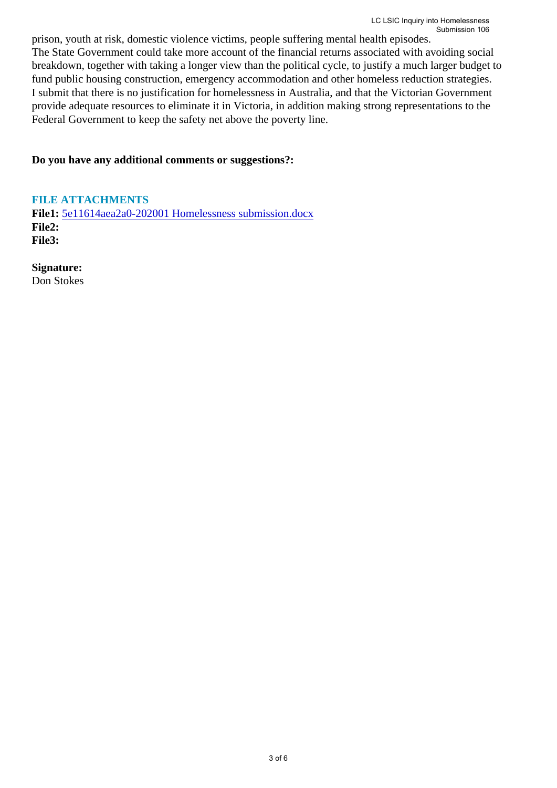prison, youth at risk, domestic violence victims, people suffering mental health episodes. The State Government could take more account of the financial returns associated with avoiding social breakdown, together with taking a longer view than the political cycle, to justify a much larger budget to fund public housing construction, emergency accommodation and other homeless reduction strategies. I submit that there is no justification for homelessness in Australia, and that the Victorian Government provide adequate resources to eliminate it in Victoria, in addition making strong representations to the Federal Government to keep the safety net above the poverty line.

### **Do you have any additional comments or suggestions?:**

**FILE ATTACHMENTS File1:** 5e11614aea2a0-202001 Homelessness submission.docx **File2: File3:** 

**Signature:**

Don Stokes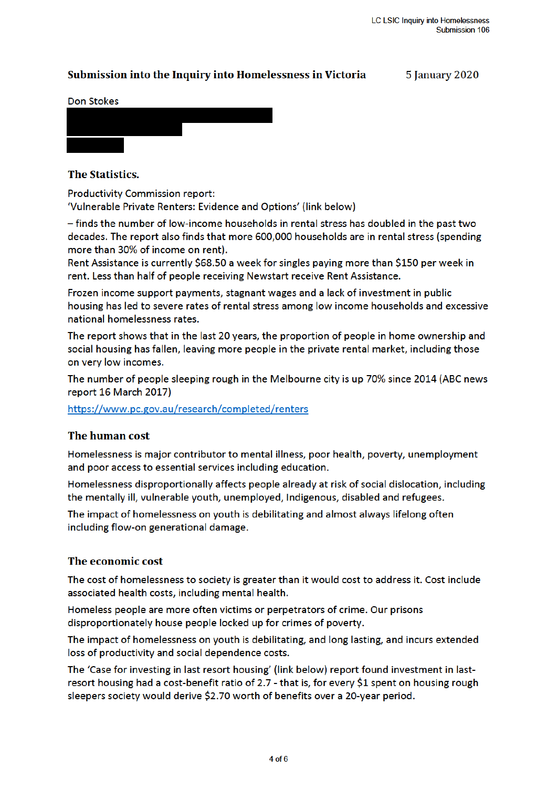# Submission into the Inquiry into Homelessness in Victoria

**5 January 2020** 

#### **Don Stokes**



### The Statistics.

**Productivity Commission report:** 

'Vulnerable Private Renters: Evidence and Options' (link below)

- finds the number of low-income households in rental stress has doubled in the past two decades. The report also finds that more 600,000 households are in rental stress (spending more than 30% of income on rent).

Rent Assistance is currently \$68.50 a week for singles paying more than \$150 per week in rent. Less than half of people receiving Newstart receive Rent Assistance.

Frozen income support payments, stagnant wages and a lack of investment in public housing has led to severe rates of rental stress among low income households and excessive national homelessness rates.

The report shows that in the last 20 years, the proportion of people in home ownership and social housing has fallen, leaving more people in the private rental market, including those on very low incomes.

The number of people sleeping rough in the Melbourne city is up 70% since 2014 (ABC news report 16 March 2017)

https://www.pc.gov.au/research/completed/renters

### The human cost

Homelessness is major contributor to mental illness, poor health, poverty, unemployment and poor access to essential services including education.

Homelessness disproportionally affects people already at risk of social dislocation, including the mentally ill, vulnerable youth, unemployed, Indigenous, disabled and refugees.

The impact of homelessness on youth is debilitating and almost always lifelong often including flow-on generational damage.

### The economic cost

The cost of homelessness to society is greater than it would cost to address it. Cost include associated health costs, including mental health.

Homeless people are more often victims or perpetrators of crime. Our prisons disproportionately house people locked up for crimes of poverty.

The impact of homelessness on youth is debilitating, and long lasting, and incurs extended loss of productivity and social dependence costs.

The 'Case for investing in last resort housing' (link below) report found investment in lastresort housing had a cost-benefit ratio of 2.7 - that is, for every \$1 spent on housing rough sleepers society would derive \$2.70 worth of benefits over a 20-year period.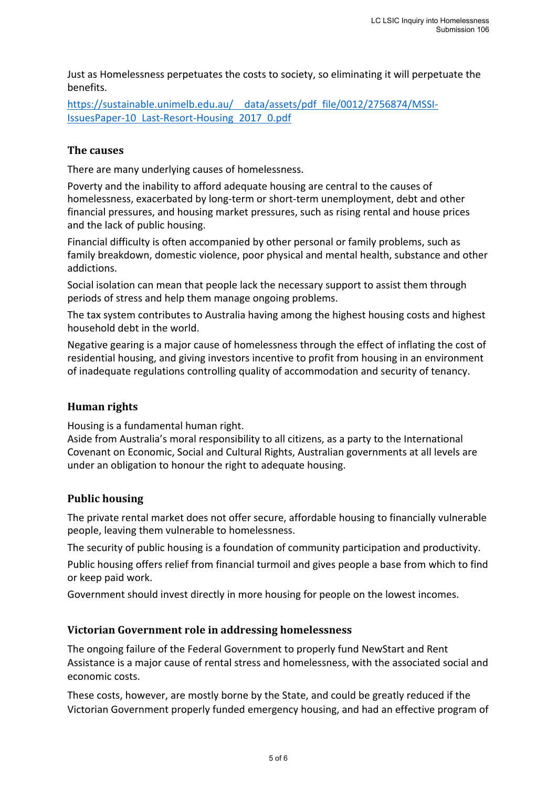Just as Homelessness perpetuates the costs to society, so eliminating it will perpetuate the benefits.

https://sustainable.unimelb.edu.au/ data/assets/pdf file/0012/2756874/MSSI-IssuesPaper‐10 Last‐Resort‐Housing 2017 0.pdf

## **The causes**

There are many underlying causes of homelessness.

Poverty and the inability to afford adequate housing are central to the causes of homelessness, exacerbated by long-term or short-term unemployment, debt and other financial pressures, and housing market pressures, such as rising rental and house prices and the lack of public housing.

Financial difficulty is often accompanied by other personal or family problems, such as family breakdown, domestic violence, poor physical and mental health, substance and other addictions.

Social isolation can mean that people lack the necessary support to assist them through periods of stress and help them manage ongoing problems.

The tax system contributes to Australia having among the highest housing costs and highest household debt in the world.

Negative gearing is a major cause of homelessness through the effect of inflating the cost of residential housing, and giving investors incentive to profit from housing in an environment of inadequate regulations controlling quality of accommodation and security of tenancy.

# **Human rights**

Housing is a fundamental human right.

Aside from Australia's moral responsibility to all citizens, as a party to the International Covenant on Economic, Social and Cultural Rights, Australian governments at all levels are under an obligation to honour the right to adequate housing.

# **Public housing**

The private rental market does not offer secure, affordable housing to financially vulnerable people, leaving them vulnerable to homelessness.

The security of public housing is a foundation of community participation and productivity.

Public housing offers relief from financial turmoil and gives people a base from which to find or keep paid work.

Government should invest directly in more housing for people on the lowest incomes.

### **Victorian Government role in addressing homelessness**

The ongoing failure of the Federal Government to properly fund NewStart and Rent Assistance is a major cause of rental stress and homelessness, with the associated social and economic costs.

These costs, however, are mostly borne by the State, and could be greatly reduced if the Victorian Government properly funded emergency housing, and had an effective program of